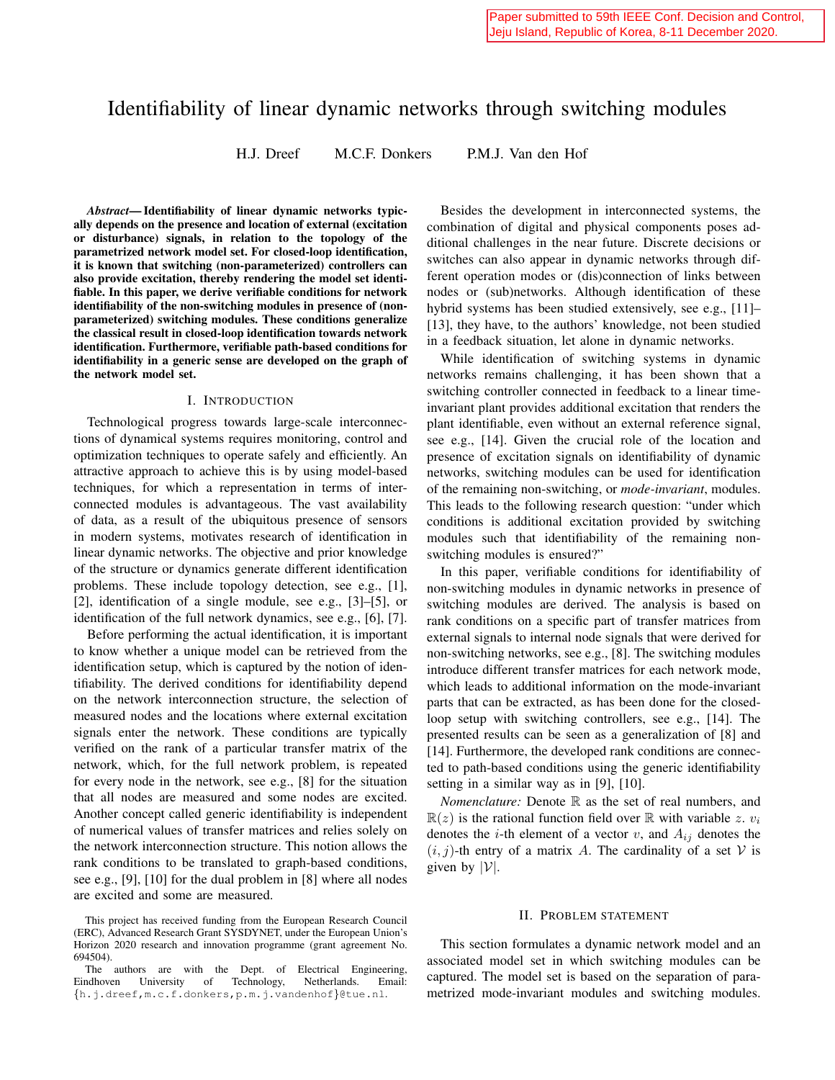# Identifiability of linear dynamic networks through switching modules

H.J. Dreef M.C.F. Donkers P.M.J. Van den Hof

*Abstract*— Identifiability of linear dynamic networks typically depends on the presence and location of external (excitation or disturbance) signals, in relation to the topology of the parametrized network model set. For closed-loop identification, it is known that switching (non-parameterized) controllers can also provide excitation, thereby rendering the model set identifiable. In this paper, we derive verifiable conditions for network identifiability of the non-switching modules in presence of (nonparameterized) switching modules. These conditions generalize the classical result in closed-loop identification towards network identification. Furthermore, verifiable path-based conditions for identifiability in a generic sense are developed on the graph of the network model set.

#### I. INTRODUCTION

Technological progress towards large-scale interconnections of dynamical systems requires monitoring, control and optimization techniques to operate safely and efficiently. An attractive approach to achieve this is by using model-based techniques, for which a representation in terms of interconnected modules is advantageous. The vast availability of data, as a result of the ubiquitous presence of sensors in modern systems, motivates research of identification in linear dynamic networks. The objective and prior knowledge of the structure or dynamics generate different identification problems. These include topology detection, see e.g., [1], [2], identification of a single module, see e.g., [3]–[5], or identification of the full network dynamics, see e.g., [6], [7].

Before performing the actual identification, it is important to know whether a unique model can be retrieved from the identification setup, which is captured by the notion of identifiability. The derived conditions for identifiability depend on the network interconnection structure, the selection of measured nodes and the locations where external excitation signals enter the network. These conditions are typically verified on the rank of a particular transfer matrix of the network, which, for the full network problem, is repeated for every node in the network, see e.g., [8] for the situation that all nodes are measured and some nodes are excited. Another concept called generic identifiability is independent of numerical values of transfer matrices and relies solely on the network interconnection structure. This notion allows the rank conditions to be translated to graph-based conditions, see e.g., [9], [10] for the dual problem in [8] where all nodes are excited and some are measured.

Besides the development in interconnected systems, the combination of digital and physical components poses additional challenges in the near future. Discrete decisions or switches can also appear in dynamic networks through different operation modes or (dis)connection of links between nodes or (sub)networks. Although identification of these hybrid systems has been studied extensively, see e.g., [11]– [13], they have, to the authors' knowledge, not been studied in a feedback situation, let alone in dynamic networks.

While identification of switching systems in dynamic networks remains challenging, it has been shown that a switching controller connected in feedback to a linear timeinvariant plant provides additional excitation that renders the plant identifiable, even without an external reference signal, see e.g., [14]. Given the crucial role of the location and presence of excitation signals on identifiability of dynamic networks, switching modules can be used for identification of the remaining non-switching, or *mode-invariant*, modules. This leads to the following research question: "under which conditions is additional excitation provided by switching modules such that identifiability of the remaining nonswitching modules is ensured?"

In this paper, verifiable conditions for identifiability of non-switching modules in dynamic networks in presence of switching modules are derived. The analysis is based on rank conditions on a specific part of transfer matrices from external signals to internal node signals that were derived for non-switching networks, see e.g., [8]. The switching modules introduce different transfer matrices for each network mode, which leads to additional information on the mode-invariant parts that can be extracted, as has been done for the closedloop setup with switching controllers, see e.g., [14]. The presented results can be seen as a generalization of [8] and [14]. Furthermore, the developed rank conditions are connected to path-based conditions using the generic identifiability setting in a similar way as in [9], [10].

*Nomenclature:* Denote R as the set of real numbers, and  $\mathbb{R}(z)$  is the rational function field over  $\mathbb R$  with variable z.  $v_i$ denotes the *i*-th element of a vector v, and  $A_{ij}$  denotes the  $(i, j)$ -th entry of a matrix A. The cardinality of a set V is given by  $|\mathcal{V}|$ .

## II. PROBLEM STATEMENT

This section formulates a dynamic network model and an associated model set in which switching modules can be captured. The model set is based on the separation of parametrized mode-invariant modules and switching modules.

This project has received funding from the European Research Council (ERC), Advanced Research Grant SYSDYNET, under the European Union's Horizon 2020 research and innovation programme (grant agreement No. 694504).

The authors are with the Dept. of Electrical Engineering,<br>ndhoven University of Technology, Netherlands. Email: Eindhoven University {h.j.dreef,m.c.f.donkers,p.m.j.vandenhof}@tue.nl.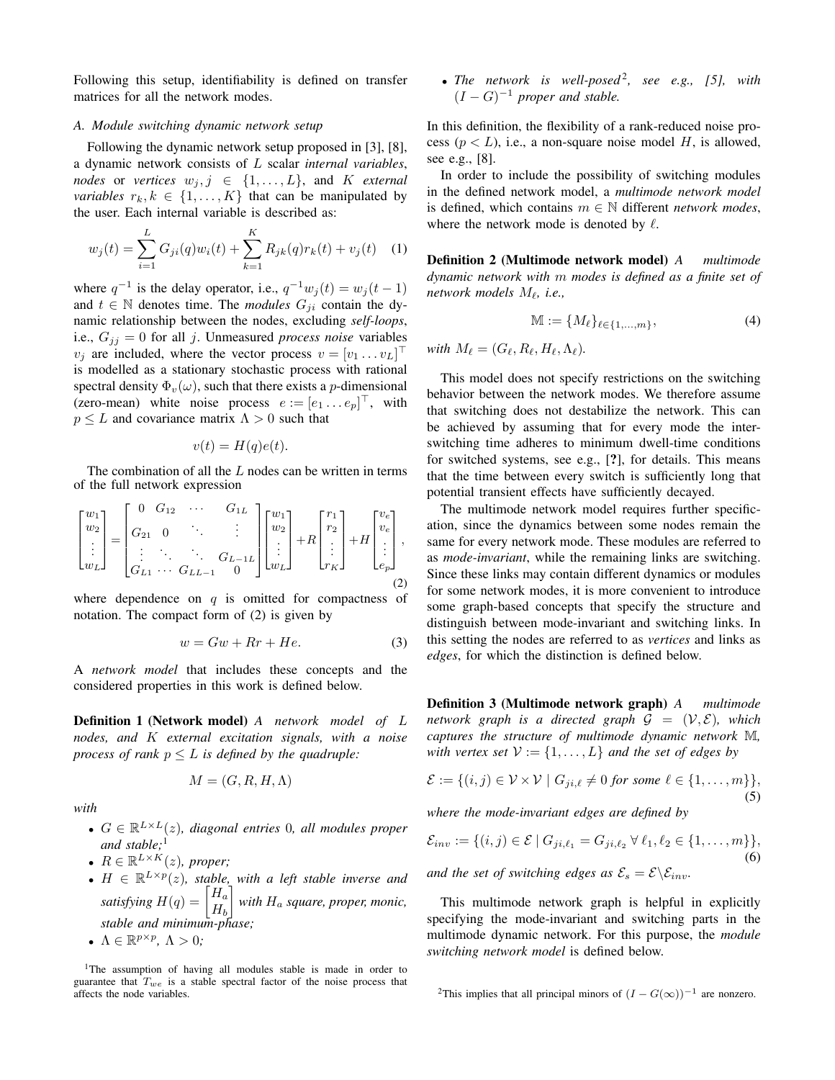Following this setup, identifiability is defined on transfer matrices for all the network modes.

## *A. Module switching dynamic network setup*

Following the dynamic network setup proposed in [3], [8], a dynamic network consists of L scalar *internal variables*, *nodes* or *vertices*  $w_j, j \in \{1, \ldots, L\}$ , and K *external variables*  $r_k, k \in \{1, \ldots, K\}$  that can be manipulated by the user. Each internal variable is described as:

$$
w_j(t) = \sum_{i=1}^{L} G_{ji}(q)w_i(t) + \sum_{k=1}^{K} R_{jk}(q)r_k(t) + v_j(t)
$$
 (1)

where  $q^{-1}$  is the delay operator, i.e.,  $q^{-1}w_j(t) = w_j(t-1)$ and  $t \in \mathbb{N}$  denotes time. The *modules*  $G_{ii}$  contain the dynamic relationship between the nodes, excluding *self-loops*, i.e.,  $G_{jj} = 0$  for all j. Unmeasured *process noise* variables  $v_j$  are included, where the vector process  $v = [v_1 \dots v_L]^\top$ is modelled as a stationary stochastic process with rational spectral density  $\Phi_v(\omega)$ , such that there exists a *p*-dimensional (zero-mean) white noise process  $e := [e_1 \dots e_p]^\top$ , with  $p \leq L$  and covariance matrix  $\Lambda > 0$  such that

$$
v(t) = H(q)e(t).
$$

The combination of all the  $L$  nodes can be written in terms of the full network expression

$$
\begin{bmatrix} w_1 \\ w_2 \\ \vdots \\ w_L \end{bmatrix} = \begin{bmatrix} 0 & G_{12} & \cdots & G_{1L} \\ G_{21} & 0 & \ddots & \vdots \\ \vdots & \ddots & \ddots & G_{L-1L} \\ G_{L1} & \cdots & G_{LL-1} & 0 \end{bmatrix} \begin{bmatrix} w_1 \\ w_2 \\ \vdots \\ w_L \end{bmatrix} + R \begin{bmatrix} r_1 \\ r_2 \\ \vdots \\ r_K \end{bmatrix} + H \begin{bmatrix} v_e \\ v_e \\ \vdots \\ e_p \end{bmatrix},
$$
\n(2)

where dependence on  $q$  is omitted for compactness of notation. The compact form of (2) is given by

$$
w = Gw + Rr + He.
$$
 (3)

A *network model* that includes these concepts and the considered properties in this work is defined below.

Definition 1 (Network model) *A network model of* L *nodes, and* K *external excitation signals, with a noise process of rank*  $p \leq L$  *is defined by the quadruple:* 

$$
M = (G, R, H, \Lambda)
$$

*with*

- $G \in \mathbb{R}^{L \times L}(z)$ , diagonal entries 0, all modules proper *and stable;*<sup>1</sup>
- $R \in \mathbb{R}^{L \times K}(z)$ , proper;
- $H \in \mathbb{R}^{L \times p}(z)$ , stable, with a left stable inverse and *satisfying*  $H(q) = \begin{bmatrix} H_a \\ H_a \end{bmatrix}$  $H_b$ *with*  $H_a$  *square, proper, monic, stable and minimum-phase;* •  $\Lambda \in \mathbb{R}^{p \times p}$ ,  $\Lambda > 0$ ;
- <sup>1</sup>The assumption of having all modules stable is made in order to guarantee that  $T_{we}$  is a stable spectral factor of the noise process that affects the node variables.

• *The network is well-posed<sup>2</sup>, see e.g., [5], with*  $(I - G)^{-1}$  *proper and stable.* 

In this definition, the flexibility of a rank-reduced noise process ( $p < L$ ), i.e., a non-square noise model H, is allowed, see e.g., [8].

In order to include the possibility of switching modules in the defined network model, a *multimode network model* is defined, which contains  $m \in \mathbb{N}$  different *network modes*, where the network mode is denoted by  $\ell$ .

Definition 2 (Multimode network model) *A multimode dynamic network with* m *modes is defined as a finite set of network models* M`*, i.e.,*

$$
\mathbb{M} := \{M_{\ell}\}_{{\ell \in \{1,\ldots,m\}}},\tag{4}
$$

*with*  $M_{\ell} = (G_{\ell}, R_{\ell}, H_{\ell}, \Lambda_{\ell}).$ 

This model does not specify restrictions on the switching behavior between the network modes. We therefore assume that switching does not destabilize the network. This can be achieved by assuming that for every mode the interswitching time adheres to minimum dwell-time conditions for switched systems, see e.g., [?], for details. This means that the time between every switch is sufficiently long that potential transient effects have sufficiently decayed.

The multimode network model requires further specification, since the dynamics between some nodes remain the same for every network mode. These modules are referred to as *mode-invariant*, while the remaining links are switching. Since these links may contain different dynamics or modules for some network modes, it is more convenient to introduce some graph-based concepts that specify the structure and distinguish between mode-invariant and switching links. In this setting the nodes are referred to as *vertices* and links as *edges*, for which the distinction is defined below.

Definition 3 (Multimode network graph) *A multimode network graph is a directed graph*  $G = (V, E)$ *, which captures the structure of multimode dynamic network* M*, with vertex set*  $V := \{1, \ldots, L\}$  *and the set of edges by* 

$$
\mathcal{E} := \{(i,j) \in \mathcal{V} \times \mathcal{V} \mid G_{ji,\ell} \neq 0 \text{ for some } \ell \in \{1,\ldots,m\}\},\
$$
(5)

*where the mode-invariant edges are defined by*

$$
\mathcal{E}_{inv} := \{ (i,j) \in \mathcal{E} \mid G_{ji,\ell_1} = G_{ji,\ell_2} \,\forall \,\ell_1, \ell_2 \in \{1, \dots, m\} \},\
$$
\n(6)

\nand the set of switching edges as  $\mathcal{E}_s = \mathcal{E} \setminus \mathcal{E}_{inv}$ .

This multimode network graph is helpful in explicitly specifying the mode-invariant and switching parts in the multimode dynamic network. For this purpose, the *module switching network model* is defined below.

<sup>&</sup>lt;sup>2</sup>This implies that all principal minors of  $(I - G(\infty))^{-1}$  are nonzero.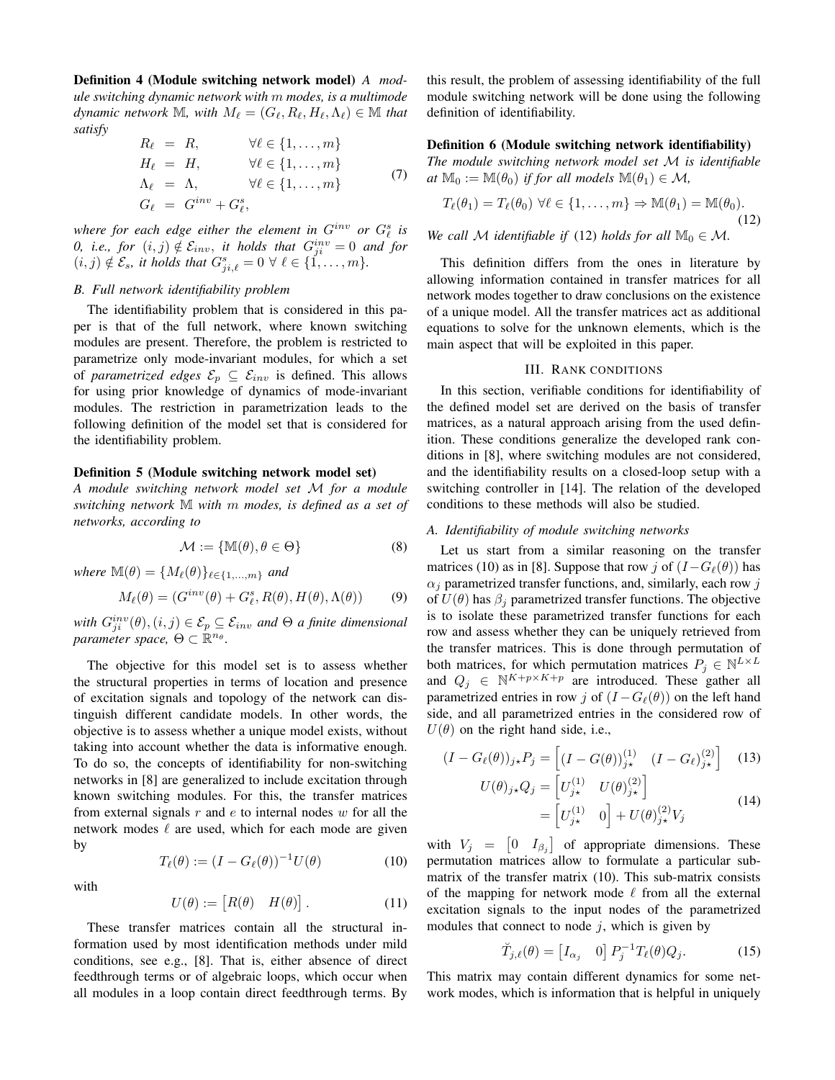Definition 4 (Module switching network model) *A module switching dynamic network with* m *modes, is a multimode dynamic network* M, with  $M_\ell = (G_\ell, R_\ell, H_\ell, \Lambda_\ell) \in \mathbb{M}$  that *satisfy*

$$
R_{\ell} = R, \qquad \forall \ell \in \{1, ..., m\}
$$
  
\n
$$
H_{\ell} = H, \qquad \forall \ell \in \{1, ..., m\}
$$
  
\n
$$
\Lambda_{\ell} = \Lambda, \qquad \forall \ell \in \{1, ..., m\}
$$
  
\n
$$
G_{\ell} = G^{inv} + G_{\ell}^{s},
$$
\n(7)

where for each edge either the element in  $G^{inv}$  or  $G^{s}_{\ell}$  is  $0, i.e., for (i, j) \notin \mathcal{E}_{inv},$  *it holds that*  $G_{ji}^{inv} = 0$  *and for*  $(i, j) \notin \mathcal{E}_s$ , it holds that  $G_{ji, \ell}^s = 0 \ \forall \ \ell \in \{1, \ldots, m\}.$ 

## *B. Full network identifiability problem*

The identifiability problem that is considered in this paper is that of the full network, where known switching modules are present. Therefore, the problem is restricted to parametrize only mode-invariant modules, for which a set of *parametrized edges*  $\mathcal{E}_p \subseteq \mathcal{E}_{inv}$  is defined. This allows for using prior knowledge of dynamics of mode-invariant modules. The restriction in parametrization leads to the following definition of the model set that is considered for the identifiability problem.

## Definition 5 (Module switching network model set)

*A module switching network model set* M *for a module switching network* M *with* m *modes, is defined as a set of networks, according to*

$$
\mathcal{M} := \{ \mathbb{M}(\theta), \theta \in \Theta \}
$$
 (8)

*where*  $\mathbb{M}(\theta) = \{M_\ell(\theta)\}_{\ell \in \{1,\ldots,m\}}$  *and* 

$$
M_{\ell}(\theta) = (G^{inv}(\theta) + G_{\ell}^s, R(\theta), H(\theta), \Lambda(\theta))
$$
 (9)

 $with \ G_{ji}^{inv}(\theta), (i, j) \in \mathcal{E}_p \subseteq \mathcal{E}_{inv}$  and  $\Theta$  a finite dimensional  $\mathit{parameter}$  space,  $\Theta \subset \mathbb{R}^{n_\theta}$ .

The objective for this model set is to assess whether the structural properties in terms of location and presence of excitation signals and topology of the network can distinguish different candidate models. In other words, the objective is to assess whether a unique model exists, without taking into account whether the data is informative enough. To do so, the concepts of identifiability for non-switching networks in [8] are generalized to include excitation through known switching modules. For this, the transfer matrices from external signals  $r$  and  $e$  to internal nodes  $w$  for all the network modes  $\ell$  are used, which for each mode are given by

$$
T_{\ell}(\theta) := (I - G_{\ell}(\theta))^{-1} U(\theta)
$$
 (10)

with

$$
U(\theta) := [R(\theta) \quad H(\theta)]. \tag{11}
$$

These transfer matrices contain all the structural information used by most identification methods under mild conditions, see e.g., [8]. That is, either absence of direct feedthrough terms or of algebraic loops, which occur when all modules in a loop contain direct feedthrough terms. By this result, the problem of assessing identifiability of the full module switching network will be done using the following definition of identifiability.

## Definition 6 (Module switching network identifiability)

*The module switching network model set* M *is identifiable*  $at M_0 := M(\theta_0)$  *if for all models*  $M(\theta_1) \in M$ *,* 

$$
T_{\ell}(\theta_1) = T_{\ell}(\theta_0) \,\,\forall \ell \in \{1, \ldots, m\} \Rightarrow \mathbb{M}(\theta_1) = \mathbb{M}(\theta_0).
$$
\n(12)

*We call*  $M$  *identifiable if* (12) *holds for all*  $M_0 \in M$ .

This definition differs from the ones in literature by allowing information contained in transfer matrices for all network modes together to draw conclusions on the existence of a unique model. All the transfer matrices act as additional equations to solve for the unknown elements, which is the main aspect that will be exploited in this paper.

#### III. RANK CONDITIONS

In this section, verifiable conditions for identifiability of the defined model set are derived on the basis of transfer matrices, as a natural approach arising from the used definition. These conditions generalize the developed rank conditions in [8], where switching modules are not considered, and the identifiability results on a closed-loop setup with a switching controller in [14]. The relation of the developed conditions to these methods will also be studied.

#### *A. Identifiability of module switching networks*

Let us start from a similar reasoning on the transfer matrices (10) as in [8]. Suppose that row j of  $(I-G_{\ell}(\theta))$  has  $\alpha_i$  parametrized transfer functions, and, similarly, each row j of  $U(\theta)$  has  $\beta_i$  parametrized transfer functions. The objective is to isolate these parametrized transfer functions for each row and assess whether they can be uniquely retrieved from the transfer matrices. This is done through permutation of both matrices, for which permutation matrices  $P_j \in \mathbb{N}^{L \times L}$ and  $Q_j \in \mathbb{N}^{K+p\times K+p}$  are introduced. These gather all parametrized entries in row j of  $(I - G_{\ell}(\theta))$  on the left hand side, and all parametrized entries in the considered row of  $U(\theta)$  on the right hand side, i.e.,

$$
(I - G_{\ell}(\theta))_{j\star} P_j = \left[ (I - G(\theta))_{j\star}^{(1)} \quad (I - G_{\ell})_{j\star}^{(2)} \right] \quad (13)
$$

$$
U(\theta)_{j\star} Q_j = \left[ U_{j\star}^{(1)} \quad U(\theta)_{j\star}^{(2)} \right] \quad (14)
$$

$$
(\theta)_{j\star} Q_j = \begin{bmatrix} U_{j\star}^{(1)} & U(\theta)_{j\star}^{(2)} \end{bmatrix}
$$
  
= 
$$
\begin{bmatrix} U_{j\star}^{(1)} & 0 \end{bmatrix} + U(\theta)_{j\star}^{(2)} V_j
$$
 (14)

with  $V_j = \begin{bmatrix} 0 & I_{\beta_j} \end{bmatrix}$  of appropriate dimensions. These permutation matrices allow to formulate a particular submatrix of the transfer matrix (10). This sub-matrix consists of the mapping for network mode  $\ell$  from all the external excitation signals to the input nodes of the parametrized modules that connect to node  $j$ , which is given by

$$
\breve{T}_{j,\ell}(\theta) = \begin{bmatrix} I_{\alpha_j} & 0 \end{bmatrix} P_j^{-1} T_\ell(\theta) Q_j.
$$
 (15)

This matrix may contain different dynamics for some network modes, which is information that is helpful in uniquely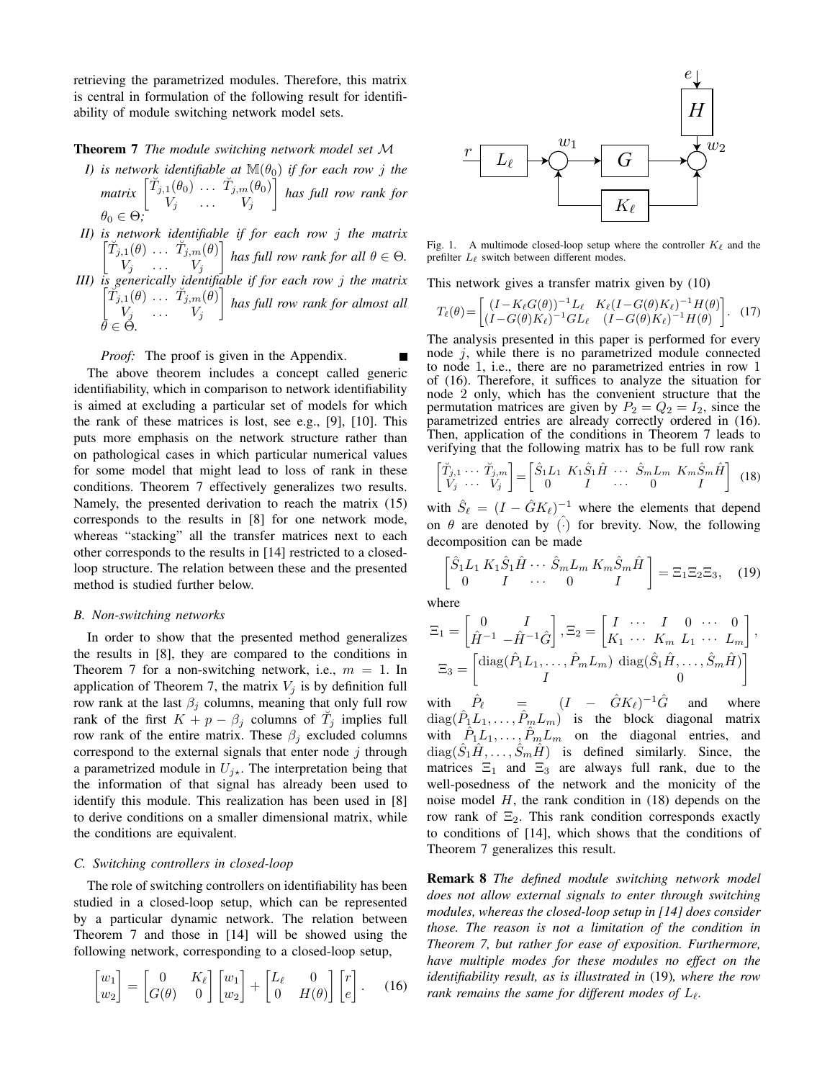retrieving the parametrized modules. Therefore, this matrix is central in formulation of the following result for identifiability of module switching network model sets.

## Theorem 7 *The module switching network model set* M

- *I) is network identifiable at*  $\mathbb{M}(\theta_0)$  *if for each row j the matrix*  $\begin{bmatrix} \breve{T}_{j,1}(\theta_0) & \cdots & \breve{T}_{j,m}(\theta_0) \\ V & V & V \end{bmatrix}$  $V_j$  ...  $V_j$  *has full row rank for*  $\theta_0 \in \Theta$ ;
- *II) is network identifiable if for each row* j *the matrix*  $\left[\breve{T}_{j,1}(\theta) \dots \breve{T}_{j,m}(\theta)\right]$  $V_j$  ...  $V_j$ *f* has full row rank for all  $\theta \in \Theta$ . *III) is generically identifiable if for each row* j *the matrix*  $\left[\tilde{T}_{j,1}(\theta) \ldots \tilde{T}_{j,m}(\theta)\right]$  $V_j$  ...  $V_j$  *has full row rank for almost all*  $\bar{\theta} \in \dot{\Theta}$ .

#### *Proof:* The proof is given in the Appendix.

The above theorem includes a concept called generic identifiability, which in comparison to network identifiability is aimed at excluding a particular set of models for which the rank of these matrices is lost, see e.g., [9], [10]. This puts more emphasis on the network structure rather than on pathological cases in which particular numerical values for some model that might lead to loss of rank in these conditions. Theorem 7 effectively generalizes two results. Namely, the presented derivation to reach the matrix (15) corresponds to the results in [8] for one network mode, whereas "stacking" all the transfer matrices next to each other corresponds to the results in [14] restricted to a closedloop structure. The relation between these and the presented method is studied further below.

## *B. Non-switching networks*

In order to show that the presented method generalizes the results in [8], they are compared to the conditions in Theorem 7 for a non-switching network, i.e.,  $m = 1$ . In application of Theorem 7, the matrix  $V_i$  is by definition full row rank at the last  $\beta_i$  columns, meaning that only full row rank of the first  $K + p - \beta_j$  columns of  $\tilde{T}_j$  implies full row rank of the entire matrix. These  $\beta_i$  excluded columns correspond to the external signals that enter node  $j$  through a parametrized module in  $U_{j\star}$ . The interpretation being that the information of that signal has already been used to identify this module. This realization has been used in [8] to derive conditions on a smaller dimensional matrix, while the conditions are equivalent.

## *C. Switching controllers in closed-loop*

The role of switching controllers on identifiability has been studied in a closed-loop setup, which can be represented by a particular dynamic network. The relation between Theorem 7 and those in [14] will be showed using the following network, corresponding to a closed-loop setup,

$$
\begin{bmatrix} w_1 \\ w_2 \end{bmatrix} = \begin{bmatrix} 0 & K_{\ell} \\ G(\theta) & 0 \end{bmatrix} \begin{bmatrix} w_1 \\ w_2 \end{bmatrix} + \begin{bmatrix} L_{\ell} & 0 \\ 0 & H(\theta) \end{bmatrix} \begin{bmatrix} r \\ e \end{bmatrix}.
$$
 (16)



Fig. 1. A multimode closed-loop setup where the controller  $K_\ell$  and the prefilter  $L_{\ell}$  switch between different modes.

This network gives a transfer matrix given by (10)

$$
T_{\ell}(\theta) = \begin{bmatrix} (I - K_{\ell}G(\theta))^{-1} L_{\ell} & K_{\ell}(I - G(\theta)K_{\ell})^{-1}H(\theta) \\ (I - G(\theta)K_{\ell})^{-1}GL_{\ell} & (I - G(\theta)K_{\ell})^{-1}H(\theta) \end{bmatrix}.
$$
 (17)

The analysis presented in this paper is performed for every node  $j$ , while there is no parametrized module connected to node 1, i.e., there are no parametrized entries in row 1 of (16). Therefore, it suffices to analyze the situation for node 2 only, which has the convenient structure that the permutation matrices are given by  $P_2 = Q_2 = I_2$ , since the parametrized entries are already correctly ordered in (16). Then, application of the conditions in Theorem 7 leads to verifying that the following matrix has to be full row rank

$$
\begin{bmatrix} \tilde{T}_{j,1} & \cdots & \tilde{T}_{j,m} \\ V_j & \cdots & V_j \end{bmatrix} = \begin{bmatrix} \hat{S}_1 L_1 & K_1 \hat{S}_1 \hat{H} & \cdots & \hat{S}_m L_m & K_m \hat{S}_m \hat{H} \\ 0 & I & \cdots & 0 & I \end{bmatrix}
$$
 (18)

with  $\hat{S}_{\ell} = (I - \hat{G}K_{\ell})^{-1}$  where the elements that depend on  $\theta$  are denoted by  $\hat{(\cdot)}$  for brevity. Now, the following decomposition can be made

$$
\begin{bmatrix}\n\hat{S}_1 L_1 K_1 \hat{S}_1 \hat{H} \cdots \hat{S}_m L_m K_m \hat{S}_m \hat{H} \\
0 \quad I \quad \cdots \quad 0 \quad I\n\end{bmatrix} = \Xi_1 \Xi_2 \Xi_3, \quad (19)
$$

where

$$
\Xi_1 = \begin{bmatrix} 0 & I \\ \hat{H}^{-1} & -\hat{H}^{-1}\hat{G} \end{bmatrix}, \Xi_2 = \begin{bmatrix} I & \cdots & I & 0 & \cdots & 0 \\ K_1 & \cdots & K_m & L_1 & \cdots & L_m \end{bmatrix},
$$

$$
\Xi_3 = \begin{bmatrix} \text{diag}(\hat{P}_1 L_1, \dots, \hat{P}_m L_m) & \text{diag}(\hat{S}_1 \hat{H}, \dots, \hat{S}_m \hat{H}) \\ I & 0 \end{bmatrix}
$$

with  $\hat{C}_{\ell}$  =  $(I - \hat{G}K_{\ell})^{-1}\hat{G}$  and where  $diag(\hat{P}_1 L_1, \ldots, \hat{P}_m L_m)$  is the block diagonal matrix with  $\hat{P}_1 L_1, \ldots, \hat{P}_m L_m$  on the diagonal entries, and  $diag(\hat{S}_1 \hat{H}, \dots, \hat{S}_m \hat{H})$  is defined similarly. Since, the matrices  $\Xi_1$  and  $\Xi_3$  are always full rank, due to the well-posedness of the network and the monicity of the noise model  $H$ , the rank condition in (18) depends on the row rank of  $\Xi_2$ . This rank condition corresponds exactly to conditions of [14], which shows that the conditions of Theorem 7 generalizes this result.

Remark 8 *The defined module switching network model does not allow external signals to enter through switching modules, whereas the closed-loop setup in [14] does consider those. The reason is not a limitation of the condition in Theorem 7, but rather for ease of exposition. Furthermore, have multiple modes for these modules no effect on the identifiability result, as is illustrated in* (19)*, where the row rank remains the same for different modes of*  $L_{\ell}$ .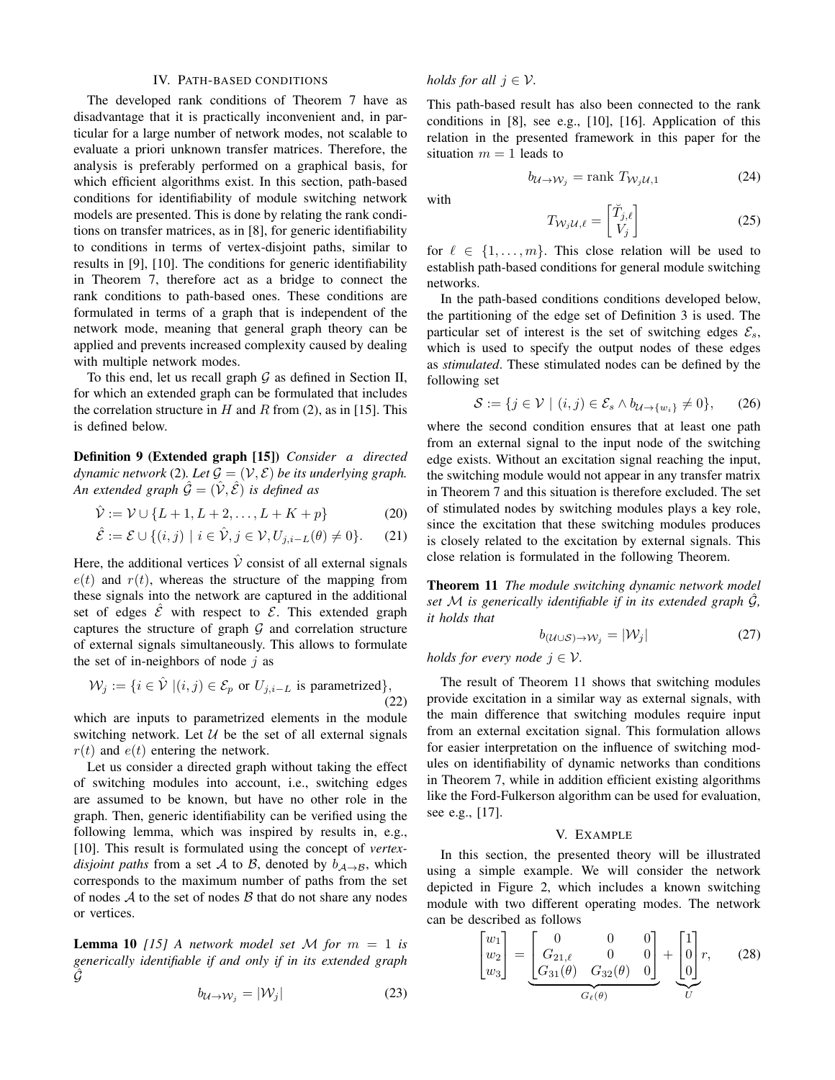## IV. PATH-BASED CONDITIONS

The developed rank conditions of Theorem 7 have as disadvantage that it is practically inconvenient and, in particular for a large number of network modes, not scalable to evaluate a priori unknown transfer matrices. Therefore, the analysis is preferably performed on a graphical basis, for which efficient algorithms exist. In this section, path-based conditions for identifiability of module switching network models are presented. This is done by relating the rank conditions on transfer matrices, as in [8], for generic identifiability to conditions in terms of vertex-disjoint paths, similar to results in [9], [10]. The conditions for generic identifiability in Theorem 7, therefore act as a bridge to connect the rank conditions to path-based ones. These conditions are formulated in terms of a graph that is independent of the network mode, meaning that general graph theory can be applied and prevents increased complexity caused by dealing with multiple network modes.

To this end, let us recall graph  $G$  as defined in Section II, for which an extended graph can be formulated that includes the correlation structure in H and R from (2), as in [15]. This is defined below.

Definition 9 (Extended graph [15]) *Consider a directed dynamic network* (2). Let  $\mathcal{G} = (\mathcal{V}, \mathcal{E})$  *be its underlying graph. An extended graph*  $\hat{G} = (\hat{V}, \hat{\mathcal{E}})$  *is defined as* 

$$
\hat{\mathcal{V}} := \mathcal{V} \cup \{L+1, L+2, \dots, L+K+p\}
$$
 (20)

$$
\hat{\mathcal{E}} := \mathcal{E} \cup \{ (i,j) \mid i \in \hat{\mathcal{V}}, j \in \mathcal{V}, U_{j,i-L}(\theta) \neq 0 \}.
$$
 (21)

Here, the additional vertices  $\hat{V}$  consist of all external signals  $e(t)$  and  $r(t)$ , whereas the structure of the mapping from these signals into the network are captured in the additional set of edges  $\mathcal{E}$  with respect to  $\mathcal{E}$ . This extended graph captures the structure of graph  $G$  and correlation structure of external signals simultaneously. This allows to formulate the set of in-neighbors of node  $i$  as

$$
\mathcal{W}_j := \{ i \in \hat{\mathcal{V}} \mid (i,j) \in \mathcal{E}_p \text{ or } U_{j,i-L} \text{ is parametrized} \},\tag{22}
$$

which are inputs to parametrized elements in the module switching network. Let  $U$  be the set of all external signals  $r(t)$  and  $e(t)$  entering the network.

Let us consider a directed graph without taking the effect of switching modules into account, i.e., switching edges are assumed to be known, but have no other role in the graph. Then, generic identifiability can be verified using the following lemma, which was inspired by results in, e.g., [10]. This result is formulated using the concept of *vertexdisjoint paths* from a set A to B, denoted by  $b_{A\rightarrow B}$ , which corresponds to the maximum number of paths from the set of nodes  $A$  to the set of nodes  $B$  that do not share any nodes or vertices.

**Lemma 10** [15] A network model set M for  $m = 1$  is *generically identifiable if and only if in its extended graph*  $\ddot{G}$ 

$$
b_{\mathcal{U}\to\mathcal{W}_j} = |\mathcal{W}_j| \tag{23}
$$

*holds for all*  $j \in V$ *.* 

This path-based result has also been connected to the rank conditions in [8], see e.g., [10], [16]. Application of this relation in the presented framework in this paper for the situation  $m = 1$  leads to

$$
b_{\mathcal{U}\to\mathcal{W}_j} = \text{rank } T_{\mathcal{W}_j\mathcal{U},1} \tag{24}
$$

with

$$
T_{\mathcal{W}_j \mathcal{U}, \ell} = \begin{bmatrix} \breve{T}_{j,\ell} \\ V_j \end{bmatrix} \tag{25}
$$

for  $\ell \in \{1, \ldots, m\}$ . This close relation will be used to establish path-based conditions for general module switching networks.

In the path-based conditions conditions developed below, the partitioning of the edge set of Definition 3 is used. The particular set of interest is the set of switching edges  $\mathcal{E}_s$ , which is used to specify the output nodes of these edges as *stimulated*. These stimulated nodes can be defined by the following set

$$
\mathcal{S} := \{ j \in \mathcal{V} \mid (i, j) \in \mathcal{E}_s \land b_{\mathcal{U} \to \{w_i\}} \neq 0 \}, \qquad (26)
$$

where the second condition ensures that at least one path from an external signal to the input node of the switching edge exists. Without an excitation signal reaching the input, the switching module would not appear in any transfer matrix in Theorem 7 and this situation is therefore excluded. The set of stimulated nodes by switching modules plays a key role, since the excitation that these switching modules produces is closely related to the excitation by external signals. This close relation is formulated in the following Theorem.

Theorem 11 *The module switching dynamic network model set* M *is generically identifiable if in its extended graph* Gˆ*, it holds that*

$$
b_{(\mathcal{U}\cup\mathcal{S})\rightarrow\mathcal{W}_j} = |\mathcal{W}_j| \tag{27}
$$

*holds for every node*  $j \in V$ .

The result of Theorem 11 shows that switching modules provide excitation in a similar way as external signals, with the main difference that switching modules require input from an external excitation signal. This formulation allows for easier interpretation on the influence of switching modules on identifiability of dynamic networks than conditions in Theorem 7, while in addition efficient existing algorithms like the Ford-Fulkerson algorithm can be used for evaluation, see e.g., [17].

#### V. EXAMPLE

In this section, the presented theory will be illustrated using a simple example. We will consider the network depicted in Figure 2, which includes a known switching module with two different operating modes. The network can be described as follows

$$
\begin{bmatrix} w_1 \\ w_2 \\ w_3 \end{bmatrix} = \underbrace{\begin{bmatrix} 0 & 0 & 0 \\ G_{21,\ell} & 0 & 0 \\ G_{31}(\theta) & G_{32}(\theta) & 0 \end{bmatrix}}_{G_{\ell}(\theta)} + \underbrace{\begin{bmatrix} 1 \\ 0 \\ 0 \end{bmatrix}}_{U} r, \qquad (28)
$$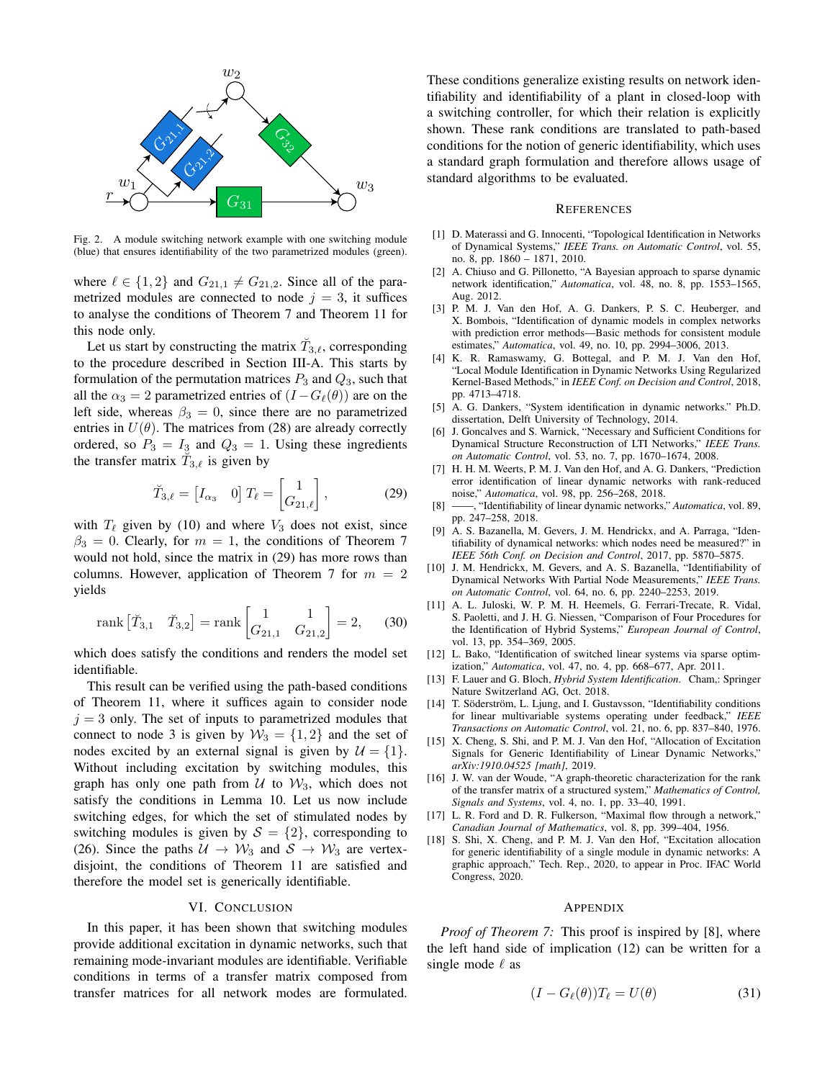

Fig. 2. A module switching network example with one switching module (blue) that ensures identifiability of the two parametrized modules (green).

where  $\ell \in \{1, 2\}$  and  $G_{21,1} \neq G_{21,2}$ . Since all of the parametrized modules are connected to node  $j = 3$ , it suffices to analyse the conditions of Theorem 7 and Theorem 11 for this node only.

Let us start by constructing the matrix  $\tilde{T}_{3,\ell}$ , corresponding to the procedure described in Section III-A. This starts by formulation of the permutation matrices  $P_3$  and  $Q_3$ , such that all the  $\alpha_3 = 2$  parametrized entries of  $(I - G_{\ell}(\theta))$  are on the left side, whereas  $\beta_3 = 0$ , since there are no parametrized entries in  $U(\theta)$ . The matrices from (28) are already correctly ordered, so  $P_3 = I_3$  and  $Q_3 = 1$ . Using these ingredients the transfer matrix  $\tilde{T}_{3,\ell}$  is given by

$$
\breve{T}_{3,\ell} = \begin{bmatrix} I_{\alpha_3} & 0 \end{bmatrix} T_{\ell} = \begin{bmatrix} 1 \\ G_{21,\ell} \end{bmatrix},\tag{29}
$$

with  $T_\ell$  given by (10) and where  $V_3$  does not exist, since  $\beta_3 = 0$ . Clearly, for  $m = 1$ , the conditions of Theorem 7 would not hold, since the matrix in (29) has more rows than columns. However, application of Theorem 7 for  $m = 2$ yields

rank 
$$
[\tilde{T}_{3,1} \quad \tilde{T}_{3,2}] = \text{rank} \begin{bmatrix} 1 & 1 \\ G_{21,1} & G_{21,2} \end{bmatrix} = 2,
$$
 (30)

which does satisfy the conditions and renders the model set identifiable.

This result can be verified using the path-based conditions of Theorem 11, where it suffices again to consider node  $j = 3$  only. The set of inputs to parametrized modules that connect to node 3 is given by  $W_3 = \{1, 2\}$  and the set of nodes excited by an external signal is given by  $\mathcal{U} = \{1\}.$ Without including excitation by switching modules, this graph has only one path from  $U$  to  $W_3$ , which does not satisfy the conditions in Lemma 10. Let us now include switching edges, for which the set of stimulated nodes by switching modules is given by  $S = \{2\}$ , corresponding to (26). Since the paths  $U \rightarrow W_3$  and  $S \rightarrow W_3$  are vertexdisjoint, the conditions of Theorem 11 are satisfied and therefore the model set is generically identifiable.

#### VI. CONCLUSION

In this paper, it has been shown that switching modules provide additional excitation in dynamic networks, such that remaining mode-invariant modules are identifiable. Verifiable conditions in terms of a transfer matrix composed from transfer matrices for all network modes are formulated.

These conditions generalize existing results on network identifiability and identifiability of a plant in closed-loop with a switching controller, for which their relation is explicitly shown. These rank conditions are translated to path-based conditions for the notion of generic identifiability, which uses a standard graph formulation and therefore allows usage of standard algorithms to be evaluated.

#### **REFERENCES**

- [1] D. Materassi and G. Innocenti, "Topological Identification in Networks of Dynamical Systems," *IEEE Trans. on Automatic Control*, vol. 55, no. 8, pp. 1860 – 1871, 2010.
- [2] A. Chiuso and G. Pillonetto, "A Bayesian approach to sparse dynamic network identification," *Automatica*, vol. 48, no. 8, pp. 1553–1565, Aug. 2012.
- [3] P. M. J. Van den Hof, A. G. Dankers, P. S. C. Heuberger, and X. Bombois, "Identification of dynamic models in complex networks with prediction error methods—Basic methods for consistent module estimates," *Automatica*, vol. 49, no. 10, pp. 2994–3006, 2013.
- [4] K. R. Ramaswamy, G. Bottegal, and P. M. J. Van den Hof, "Local Module Identification in Dynamic Networks Using Regularized Kernel-Based Methods," in *IEEE Conf. on Decision and Control*, 2018, pp. 4713–4718.
- [5] A. G. Dankers, "System identification in dynamic networks." Ph.D. dissertation, Delft University of Technology, 2014.
- [6] J. Goncalves and S. Warnick, "Necessary and Sufficient Conditions for Dynamical Structure Reconstruction of LTI Networks," *IEEE Trans. on Automatic Control*, vol. 53, no. 7, pp. 1670–1674, 2008.
- [7] H. H. M. Weerts, P. M. J. Van den Hof, and A. G. Dankers, "Prediction error identification of linear dynamic networks with rank-reduced noise," *Automatica*, vol. 98, pp. 256–268, 2018.
- [8] ——, "Identifiability of linear dynamic networks," *Automatica*, vol. 89, pp. 247–258, 2018.
- [9] A. S. Bazanella, M. Gevers, J. M. Hendrickx, and A. Parraga, "Identifiability of dynamical networks: which nodes need be measured?" in *IEEE 56th Conf. on Decision and Control*, 2017, pp. 5870–5875.
- [10] J. M. Hendrickx, M. Gevers, and A. S. Bazanella, "Identifiability of Dynamical Networks With Partial Node Measurements," *IEEE Trans. on Automatic Control*, vol. 64, no. 6, pp. 2240–2253, 2019.
- [11] A. L. Juloski, W. P. M. H. Heemels, G. Ferrari-Trecate, R. Vidal, S. Paoletti, and J. H. G. Niessen, "Comparison of Four Procedures for the Identification of Hybrid Systems," *European Journal of Control*, vol. 13, pp. 354–369, 2005.
- [12] L. Bako, "Identification of switched linear systems via sparse optimization," *Automatica*, vol. 47, no. 4, pp. 668–677, Apr. 2011.
- [13] F. Lauer and G. Bloch, *Hybrid System Identification*. Cham,: Springer Nature Switzerland AG, Oct. 2018.
- [14] T. Söderström, L. Ljung, and I. Gustavsson, "Identifiability conditions for linear multivariable systems operating under feedback," *IEEE Transactions on Automatic Control*, vol. 21, no. 6, pp. 837–840, 1976.
- [15] X. Cheng, S. Shi, and P. M. J. Van den Hof, "Allocation of Excitation Signals for Generic Identifiability of Linear Dynamic Networks," *arXiv:1910.04525 [math]*, 2019.
- [16] J. W. van der Woude, "A graph-theoretic characterization for the rank of the transfer matrix of a structured system," *Mathematics of Control, Signals and Systems*, vol. 4, no. 1, pp. 33–40, 1991.
- [17] L. R. Ford and D. R. Fulkerson, "Maximal flow through a network," *Canadian Journal of Mathematics*, vol. 8, pp. 399–404, 1956.
- [18] S. Shi, X. Cheng, and P. M. J. Van den Hof, "Excitation allocation for generic identifiability of a single module in dynamic networks: A graphic approach," Tech. Rep., 2020, to appear in Proc. IFAC World Congress, 2020.

#### **APPENDIX**

*Proof of Theorem 7:* This proof is inspired by [8], where the left hand side of implication (12) can be written for a single mode  $\ell$  as

$$
(I - G_{\ell}(\theta))T_{\ell} = U(\theta)
$$
\n(31)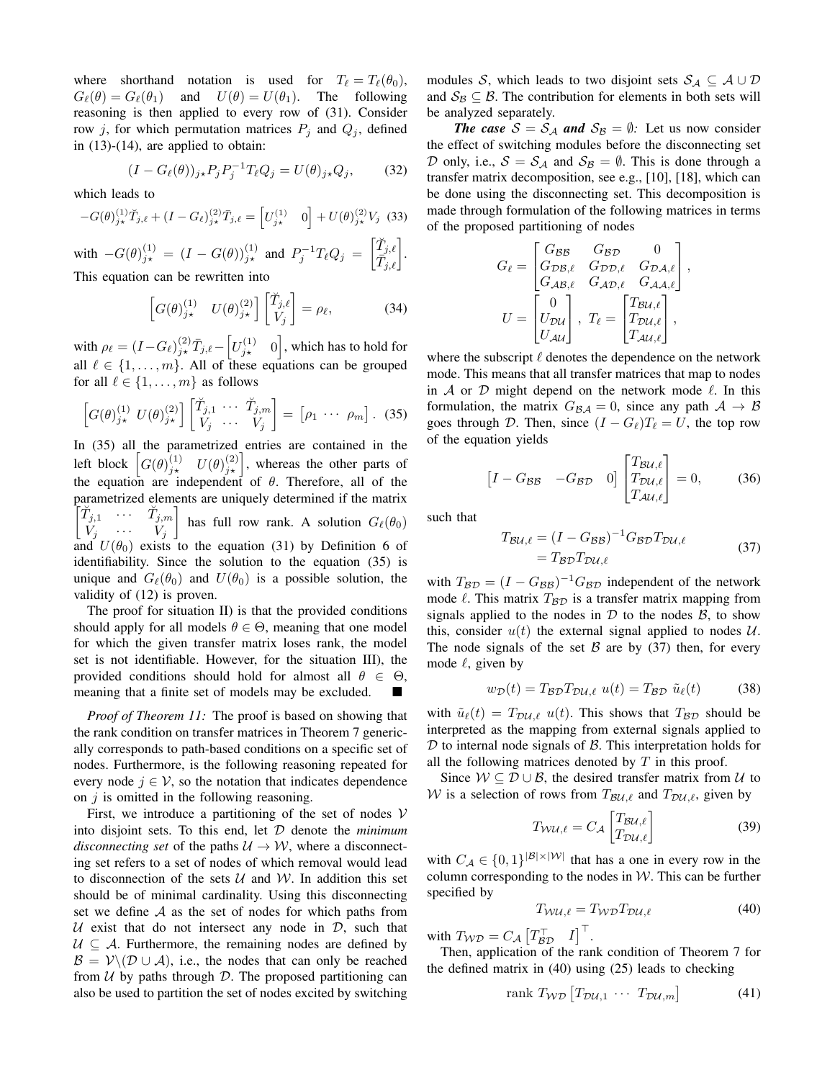where shorthand notation is used for  $T_\ell = T_\ell(\theta_0)$ ,  $G_{\ell}(\theta) = G_{\ell}(\theta_1)$  and  $U(\theta) = U(\theta_1)$ . The following reasoning is then applied to every row of (31). Consider row j, for which permutation matrices  $P_i$  and  $Q_i$ , defined in (13)-(14), are applied to obtain:

$$
(I - G_{\ell}(\theta))_{j\star} P_j P_j^{-1} T_{\ell} Q_j = U(\theta)_{j\star} Q_j, \qquad (32)
$$

which leads to

$$
-G(\theta)_{j\star}^{(1)}\tilde{T}_{j,\ell} + (I - G_{\ell})_{j\star}^{(2)}\tilde{T}_{j,\ell} = \left[U_{j\star}^{(1)} \quad 0\right] + U(\theta)_{j\star}^{(2)}V_j \tag{33}
$$

with  $-G(\theta)_{j\star}^{(1)} = (I - G(\theta))_{j\star}^{(1)}$  and  $P_j^{-1}T_\ell Q_j = \begin{bmatrix} \breve{T}_{j,\ell} \\ \overline{T}_{j,\ell} \end{bmatrix}$ . This equation can be rewritten into

$$
\left[G(\theta)_{j\star}^{(1)} \quad U(\theta)_{j\star}^{(2)}\right] \begin{bmatrix} \breve{T}_{j,\ell} \\ V_j \end{bmatrix} = \rho_{\ell},\tag{34}
$$

with  $\rho_{\ell} = (I - G_{\ell})_{j \star}^{(2)} \bar{T}_{j,\ell} - \left[ U_{j \star}^{(1)} \quad 0 \right]$ , which has to hold for all  $\ell \in \{1, \ldots, m\}$ . All of these equations can be grouped for all  $\ell \in \{1, \ldots, m\}$  as follows

$$
\left[G(\theta)_{j\star}^{(1)} U(\theta)_{j\star}^{(2)}\right] \begin{bmatrix} \check{T}_{j,1} & \cdots & \check{T}_{j,m} \\ V_j & \cdots & V_j \end{bmatrix} = \begin{bmatrix} \rho_1 & \cdots & \rho_m \end{bmatrix}.
$$
 (35)

In (35) all the parametrized entries are contained in the left block  $\left[G(\theta)_{j\star}^{(1)} \quad U(\theta)_{j\star}^{(2)}\right]$ , whereas the other parts of the equation are independent of  $\theta$ . Therefore, all of the parametrized elements are uniquely determined if the matrix  $\begin{bmatrix} \breve{T}_{j,1} & \cdots & \breve{T}_{j,m} \ V_j & \cdots & V_j \end{bmatrix}$ has full row rank. A solution  $G_{\ell}(\theta_0)$ and  $U(\theta_0)$  exists to the equation (31) by Definition 6 of identifiability. Since the solution to the equation (35) is unique and  $G_{\ell}(\theta_0)$  and  $U(\theta_0)$  is a possible solution, the validity of (12) is proven.

The proof for situation II) is that the provided conditions should apply for all models  $\theta \in \Theta$ , meaning that one model for which the given transfer matrix loses rank, the model set is not identifiable. However, for the situation III), the provided conditions should hold for almost all  $\theta \in \Theta$ , meaning that a finite set of models may be excluded.

*Proof of Theorem 11:* The proof is based on showing that the rank condition on transfer matrices in Theorem 7 generically corresponds to path-based conditions on a specific set of nodes. Furthermore, is the following reasoning repeated for every node  $j \in V$ , so the notation that indicates dependence on  $j$  is omitted in the following reasoning.

First, we introduce a partitioning of the set of nodes  $V$ into disjoint sets. To this end, let D denote the *minimum disconnecting set* of the paths  $U \rightarrow W$ , where a disconnecting set refers to a set of nodes of which removal would lead to disconnection of the sets  $U$  and  $W$ . In addition this set should be of minimal cardinality. Using this disconnecting set we define  $A$  as the set of nodes for which paths from U exist that do not intersect any node in  $D$ , such that  $U \subseteq A$ . Furthermore, the remaining nodes are defined by  $\mathcal{B} = \mathcal{V} \setminus (\mathcal{D} \cup \mathcal{A})$ , i.e., the nodes that can only be reached from  $U$  by paths through  $D$ . The proposed partitioning can also be used to partition the set of nodes excited by switching

modules S, which leads to two disjoint sets  $S_A \subseteq A \cup D$ and  $S_B \subseteq B$ . The contribution for elements in both sets will be analyzed separately.

*The case*  $S = S_A$  *and*  $S_B = \emptyset$ *:* Let us now consider the effect of switching modules before the disconnecting set D only, i.e.,  $S = S_A$  and  $S_B = \emptyset$ . This is done through a transfer matrix decomposition, see e.g., [10], [18], which can be done using the disconnecting set. This decomposition is made through formulation of the following matrices in terms of the proposed partitioning of nodes

$$
G_{\ell} = \begin{bmatrix} G_{\mathcal{B}\mathcal{B}} & G_{\mathcal{B}\mathcal{D}} & 0 \\ G_{\mathcal{D}\mathcal{B},\ell} & G_{\mathcal{D}\mathcal{D},\ell} & G_{\mathcal{D}\mathcal{A},\ell} \\ G_{\mathcal{A}\mathcal{B},\ell} & G_{\mathcal{A}\mathcal{D},\ell} & G_{\mathcal{A}\mathcal{A},\ell} \end{bmatrix},
$$

$$
U = \begin{bmatrix} 0 \\ U_{\mathcal{D}\mathcal{U}} \\ U_{\mathcal{A}\mathcal{U}} \end{bmatrix}, T_{\ell} = \begin{bmatrix} T_{\mathcal{B}\mathcal{U},\ell} \\ T_{\mathcal{D}\mathcal{U},\ell} \\ T_{\mathcal{A}\mathcal{U},\ell} \end{bmatrix},
$$

where the subscript  $\ell$  denotes the dependence on the network mode. This means that all transfer matrices that map to nodes in A or D might depend on the network mode  $\ell$ . In this formulation, the matrix  $G_{\mathcal{B}A} = 0$ , since any path  $A \rightarrow \mathcal{B}$ goes through D. Then, since  $(I - G_\ell)T_\ell = U$ , the top row of the equation yields

$$
\begin{bmatrix} I - G_{BB} & -G_{BD} & 0 \end{bmatrix} \begin{bmatrix} T_{BU,\ell} \\ T_{DU,\ell} \\ T_{AU,\ell} \end{bmatrix} = 0, \quad (36)
$$

such that

$$
T_{\mathcal{B}\mathcal{U},\ell} = (I - G_{\mathcal{B}\mathcal{B}})^{-1} G_{\mathcal{B}\mathcal{D}} T_{\mathcal{D}\mathcal{U},\ell}
$$
  
= 
$$
T_{\mathcal{B}\mathcal{D}} T_{\mathcal{D}\mathcal{U},\ell}
$$
 (37)

with  $T_{\mathcal{BD}} = (I - G_{\mathcal{BB}})^{-1} G_{\mathcal{BD}}$  independent of the network mode  $\ell$ . This matrix  $T_{\beta\mathcal{D}}$  is a transfer matrix mapping from signals applied to the nodes in  $D$  to the nodes  $B$ , to show this, consider  $u(t)$  the external signal applied to nodes  $U$ . The node signals of the set  $\beta$  are by (37) then, for every mode  $\ell$ , given by

$$
w_{\mathcal{D}}(t) = T_{\mathcal{B}\mathcal{D}} T_{\mathcal{D}\mathcal{U},\ell} u(t) = T_{\mathcal{B}\mathcal{D}} \tilde{u}_{\ell}(t) \tag{38}
$$

with  $\tilde{u}_{\ell}(t) = T_{\mathcal{D}\mathcal{U},\ell}$  u(t). This shows that  $T_{\mathcal{B}\mathcal{D}}$  should be interpreted as the mapping from external signals applied to  $D$  to internal node signals of  $B$ . This interpretation holds for all the following matrices denoted by  $T$  in this proof.

Since  $W \subseteq D \cup B$ , the desired transfer matrix from U to W is a selection of rows from  $T_{\mathcal{BU},\ell}$  and  $T_{\mathcal{DU},\ell}$ , given by

$$
T_{\mathcal{WU},\ell} = C_{\mathcal{A}} \begin{bmatrix} T_{\mathcal{BU},\ell} \\ T_{\mathcal{DU},\ell} \end{bmatrix}
$$
 (39)

with  $C_A \in \{0,1\}^{|B| \times |W|}$  that has a one in every row in the column corresponding to the nodes in  $W$ . This can be further specified by

$$
T_{\mathcal{WU},\ell} = T_{\mathcal{WD}} T_{\mathcal{DU},\ell} \tag{40}
$$

with  $T_{\mathcal{WD}} = C_{\mathcal{A}} \begin{bmatrix} T_{\mathcal{BD}}^{\top} & I \end{bmatrix}^{\top}$ .

Then, application of the rank condition of Theorem 7 for the defined matrix in (40) using (25) leads to checking

$$
\text{rank } T_{\mathcal{WD}} \left[ T_{\mathcal{DU},1} \cdots T_{\mathcal{DU},m} \right] \tag{41}
$$